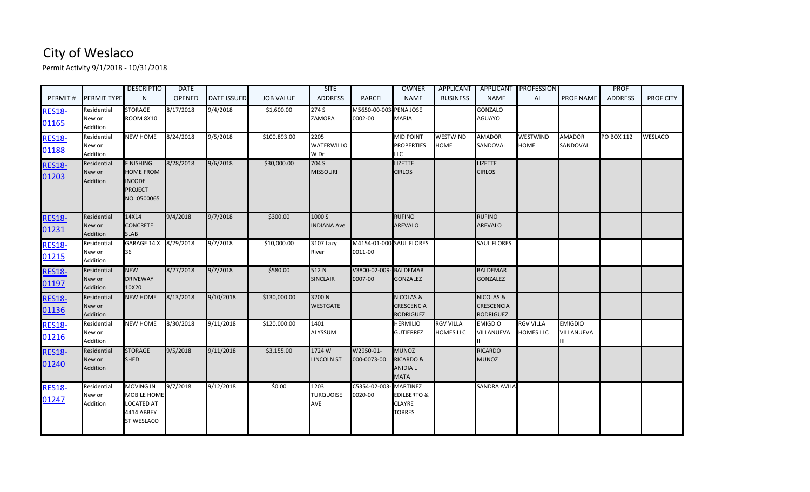## City of Weslaco

Permit Activity 9/1/2018 - 10/31/2018

| PERMIT#                | PERMIT TYPE                              | <b>DESCRIPTIO</b><br>N                                                                 | <b>DATE</b><br><b>OPENED</b> | <b>DATE ISSUED</b> | <b>JOB VALUE</b> | <b>SITE</b><br><b>ADDRESS</b>     | <b>PARCEL</b>                       | OWNER<br><b>NAME</b>                                                   | <b>APPLICANT</b><br><b>BUSINESS</b>  | <b>NAME</b>                                            | <b>APPLICANT PROFESSION</b><br>AL    | <b>PROF NAME</b>             | <b>PROF</b><br><b>ADDRESS</b> | <b>PROF CITY</b> |
|------------------------|------------------------------------------|----------------------------------------------------------------------------------------|------------------------------|--------------------|------------------|-----------------------------------|-------------------------------------|------------------------------------------------------------------------|--------------------------------------|--------------------------------------------------------|--------------------------------------|------------------------------|-------------------------------|------------------|
| <b>RES18-</b><br>01165 | Residential<br>New or<br>Addition        | <b>STORAGE</b><br><b>ROOM 8X10</b>                                                     | 8/17/2018                    | 9/4/2018           | \$1,600.00       | 274 S<br><b>ZAMORA</b>            | M5650-00-003 PENA JOSE<br>0002-00   | <b>MARIA</b>                                                           |                                      | <b>GONZALO</b><br>AGUAYO                               |                                      |                              |                               |                  |
| <b>RES18-</b><br>01188 | Residential<br>New or<br>Addition        | <b>NEW HOME</b>                                                                        | 8/24/2018                    | 9/5/2018           | \$100,893.00     | 2205<br><b>WATERWILLO</b><br>W Dr |                                     | <b>MID POINT</b><br><b>PROPERTIES</b><br><b>LLC</b>                    | <b>WESTWIND</b><br><b>HOME</b>       | <b>AMADOR</b><br>SANDOVAL                              | WESTWIND<br><b>HOME</b>              | <b>AMADOR</b><br>SANDOVAL    | PO BOX 112                    | <b>WESLACO</b>   |
| <b>RES18-</b><br>01203 | Residential<br>New or<br>Addition        | <b>FINISHING</b><br><b>HOME FROM</b><br><b>INCODE</b><br><b>PROJECT</b><br>NO.:0500065 | 8/28/2018                    | 9/6/2018           | \$30,000.00      | 704 S<br><b>MISSOURI</b>          |                                     | <b>LIZETTE</b><br><b>CIRLOS</b>                                        |                                      | <b>LIZETTE</b><br><b>CIRLOS</b>                        |                                      |                              |                               |                  |
| <b>RES18-</b><br>01231 | Residential<br>New or<br>Addition        | 14X14<br><b>CONCRETE</b><br><b>SLAB</b>                                                | 9/4/2018                     | 9/7/2018           | \$300.00         | 1000 S<br><b>INDIANA Ave</b>      |                                     | <b>RUFINO</b><br><b>AREVALO</b>                                        |                                      | <b>RUFINO</b><br>AREVALO                               |                                      |                              |                               |                  |
| <b>RES18-</b><br>01215 | Residential<br>New or<br>Addition        | GARAGE 14 X 8/29/2018<br>36                                                            |                              | 9/7/2018           | \$10,000.00      | 3107 Lazy<br>River                | M4154-01-000 SAUL FLORES<br>0011-00 |                                                                        |                                      | <b>SAUL FLORES</b>                                     |                                      |                              |                               |                  |
| <b>RES18-</b><br>01197 | Residential<br>New or<br><b>Addition</b> | <b>NEW</b><br><b>DRIVEWAY</b><br>10X20                                                 | 8/27/2018                    | 9/7/2018           | \$580.00         | 512N<br><b>SINCLAIR</b>           | V3800-02-009- BALDEMAR<br>0007-00   | <b>GONZALEZ</b>                                                        |                                      | <b>BALDEMAR</b><br><b>GONZALEZ</b>                     |                                      |                              |                               |                  |
| <b>RES18-</b><br>01136 | Residential<br>New or<br>Addition        | <b>NEW HOME</b>                                                                        | 8/13/2018                    | 9/10/2018          | \$130,000.00     | 3200N<br><b>WESTGATE</b>          |                                     | <b>NICOLAS &amp;</b><br><b>CRESCENCIA</b><br><b>RODRIGUEZ</b>          |                                      | <b>NICOLAS &amp;</b><br><b>CRESCENCIA</b><br>RODRIGUEZ |                                      |                              |                               |                  |
| <b>RES18-</b><br>01216 | Residential<br>New or<br>Addition        | <b>NEW HOME</b>                                                                        | 8/30/2018                    | 9/11/2018          | \$120,000.00     | 1401<br>ALYSSUM                   |                                     | <b>HERMILIO</b><br><b>GUTIERREZ</b>                                    | <b>RGV VILLA</b><br><b>HOMES LLC</b> | <b>EMIGDIO</b><br>VILLANUEVA                           | <b>RGV VILLA</b><br><b>HOMES LLC</b> | <b>EMIGDIO</b><br>VILLANUEVA |                               |                  |
| <b>RES18-</b><br>01240 | Residential<br>New or<br>Addition        | <b>STORAGE</b><br><b>SHED</b>                                                          | 9/5/2018                     | 9/11/2018          | \$3,155.00       | 1724 W<br><b>LINCOLN ST</b>       | W2950-01-<br>000-0073-00            | <b>MUNOZ</b><br><b>RICARDO &amp;</b><br><b>ANIDIA L</b><br><b>MATA</b> |                                      | <b>RICARDO</b><br><b>MUNOZ</b>                         |                                      |                              |                               |                  |
| <b>RES18-</b><br>01247 | Residential<br>New or<br>Addition        | <b>MOVING IN</b><br>MOBILE HOME<br><b>LOCATED AT</b><br>4414 ABBEY<br>ST WESLACO       | 9/7/2018                     | 9/12/2018          | \$0.00           | 1203<br><b>TURQUOISE</b><br>AVE   | C5354-02-003- MARTINEZ<br>0020-00   | <b>EDILBERTO &amp;</b><br><b>CLAYRE</b><br><b>TORRES</b>               |                                      | <b>SANDRA AVILA</b>                                    |                                      |                              |                               |                  |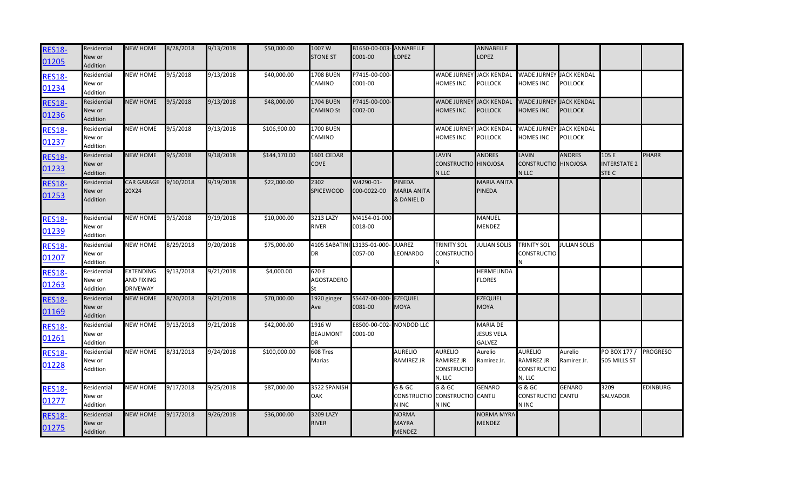| <b>RES18-</b> | Residential     | <b>NEW HOME</b>   | 8/28/2018 | 9/13/2018 | \$50,000.00  | 1007W            | B1650-00-003- ANNABELLE            |                    |                               | ANNABELLE           |                                |                     |                     |                 |
|---------------|-----------------|-------------------|-----------|-----------|--------------|------------------|------------------------------------|--------------------|-------------------------------|---------------------|--------------------------------|---------------------|---------------------|-----------------|
| 01205         | New or          |                   |           |           |              | <b>STONE ST</b>  | 0001-00                            | <b>LOPEZ</b>       |                               | LOPEZ               |                                |                     |                     |                 |
|               | <b>Addition</b> |                   |           |           |              |                  |                                    |                    |                               |                     |                                |                     |                     |                 |
| <b>RES18-</b> | Residential     | <b>NEW HOME</b>   | 9/5/2018  | 9/13/2018 | \$40,000.00  | <b>1708 BUEN</b> | P7415-00-000-                      |                    | WADE JURNEY JACK KENDAL       |                     | WADE JURNEY JACK KENDAL        |                     |                     |                 |
| 01234         | New or          |                   |           |           |              | CAMINO           | 0001-00                            |                    | <b>HOMES INC</b>              | <b>POLLOCK</b>      | HOMES INC                      | <b>POLLOCK</b>      |                     |                 |
|               | Addition        |                   |           |           |              |                  |                                    |                    |                               |                     |                                |                     |                     |                 |
| <b>RES18-</b> | Residential     | <b>NEW HOME</b>   | 9/5/2018  | 9/13/2018 | \$48,000.00  | 1704 BUEN        | P7415-00-000-                      |                    | <b>WADE JURNEY</b>            | <b>JACK KENDAL</b>  | <b>WADE JURNEY JACK KENDAL</b> |                     |                     |                 |
| 01236         | New or          |                   |           |           |              | <b>CAMINO St</b> | 0002-00                            |                    | <b>HOMES INC</b>              | <b>POLLOCK</b>      | <b>HOMES INC</b>               | <b>POLLOCK</b>      |                     |                 |
|               | Addition        |                   |           |           |              |                  |                                    |                    |                               |                     |                                |                     |                     |                 |
| <b>RES18-</b> | Residential     | <b>NEW HOME</b>   | 9/5/2018  | 9/13/2018 | \$106,900.00 | 1700 BUEN        |                                    |                    | <b>WADE JURNEY</b>            | <b>JACK KENDAL</b>  | WADE JURNEY JACK KENDAL        |                     |                     |                 |
| 01237         | New or          |                   |           |           |              | CAMINO           |                                    |                    | <b>HOMES INC</b>              | <b>POLLOCK</b>      | HOMES INC                      | POLLOCK             |                     |                 |
|               | Addition        |                   |           |           |              |                  |                                    |                    |                               |                     |                                |                     |                     |                 |
| <b>RES18-</b> | Residential     | <b>NEW HOME</b>   | 9/5/2018  | 9/18/2018 | \$144,170.00 | 1601 CEDAR       |                                    |                    | LAVIN                         | <b>ANDRES</b>       | LAVIN                          | <b>ANDRES</b>       | 105 E               | <b>PHARR</b>    |
| 01233         | New or          |                   |           |           |              | <b>COVE</b>      |                                    |                    | <b>CONSTRUCTIO</b> HINOJOSA   |                     | CONSTRUCTIO HINOJOSA           |                     | <b>INTERSTATE 2</b> |                 |
|               | <b>Addition</b> |                   |           |           |              |                  |                                    |                    | N LLC                         |                     | N LLC                          |                     | STE C               |                 |
| <b>RES18-</b> | Residential     | <b>CAR GARAGE</b> | 9/10/2018 | 9/19/2018 | \$22,000.00  | 2302             | W4290-01-                          | <b>PINEDA</b>      |                               | MARIA ANITA         |                                |                     |                     |                 |
| 01253         | New or          | 20X24             |           |           |              | <b>SPICEWOOD</b> | 000-0022-00                        | <b>MARIA ANITA</b> |                               | PINEDA              |                                |                     |                     |                 |
|               | Addition        |                   |           |           |              |                  |                                    | & DANIEL D         |                               |                     |                                |                     |                     |                 |
|               |                 |                   |           |           |              |                  |                                    |                    |                               |                     |                                |                     |                     |                 |
| <b>RES18-</b> | Residential     | <b>NEW HOME</b>   | 9/5/2018  | 9/19/2018 | \$10,000.00  | 3213 LAZY        | M4154-01-000                       |                    |                               | MANUEL              |                                |                     |                     |                 |
| 01239         | New or          |                   |           |           |              | <b>RIVER</b>     | 0018-00                            |                    |                               | MENDEZ              |                                |                     |                     |                 |
|               | Addition        |                   |           |           |              |                  |                                    |                    |                               |                     |                                |                     |                     |                 |
| <b>RES18-</b> | Residential     | <b>NEW HOME</b>   | 8/29/2018 | 9/20/2018 | \$75,000.00  |                  | 4105 SABATINI L3135-01-000- JUAREZ |                    | <b>TRINITY SOL</b>            | <b>JULIAN SOLIS</b> | <b>TRINITY SOL</b>             | <b>JULIAN SOLIS</b> |                     |                 |
| 01207         | New or          |                   |           |           |              | DR               | 0057-00                            | LEONARDO           | <b>CONSTRUCTIO</b>            |                     | <b>CONSTRUCTIO</b>             |                     |                     |                 |
|               | Addition        |                   |           |           |              |                  |                                    |                    |                               |                     |                                |                     |                     |                 |
| <b>RES18-</b> | Residential     | <b>EXTENDING</b>  | 9/13/2018 | 9/21/2018 | \$4,000.00   | 620 E            |                                    |                    |                               | HERMELINDA          |                                |                     |                     |                 |
| 01263         | New or          | AND FIXING        |           |           |              | AGOSTADERO       |                                    |                    |                               | <b>FLORES</b>       |                                |                     |                     |                 |
|               | Addition        | <b>DRIVEWAY</b>   |           |           |              |                  |                                    |                    |                               |                     |                                |                     |                     |                 |
| <b>RES18-</b> | Residential     | <b>NEW HOME</b>   | 8/20/2018 | 9/21/2018 | \$70,000.00  | 1920 ginger      | S5447-00-000-EZEQUIEL              |                    |                               | <b>EZEQUIEL</b>     |                                |                     |                     |                 |
| 01169         | New or          |                   |           |           |              | Ave              | 0081-00                            | <b>MOYA</b>        |                               | <b>MOYA</b>         |                                |                     |                     |                 |
|               | Addition        |                   |           |           |              |                  |                                    |                    |                               |                     |                                |                     |                     |                 |
| <b>RES18-</b> | Residential     | <b>NEW HOME</b>   | 9/13/2018 | 9/21/2018 | \$42,000.00  | 1916 W           | E8500-00-002-NONDOD LLC            |                    |                               | MARIA DE            |                                |                     |                     |                 |
| 01261         | New or          |                   |           |           |              | <b>BEAUMONT</b>  | 0001-00                            |                    |                               | <b>JESUS VELA</b>   |                                |                     |                     |                 |
|               | Addition        |                   |           |           |              | DR               |                                    |                    |                               | <b>GALVEZ</b>       |                                |                     |                     |                 |
| <b>RES18-</b> | Residential     | <b>NEW HOME</b>   | 8/31/2018 | 9/24/2018 | \$100,000.00 | 608 Tres         |                                    | <b>AURELIO</b>     | <b>AURELIO</b>                | Aurelio             | <b>AURELIO</b>                 | Aurelio             | PO BOX 177 /        | <b>PROGRESO</b> |
| 01228         | New or          |                   |           |           |              | Marias           |                                    | <b>RAMIREZ JR</b>  | RAMIREZ JR                    | Ramirez Jr.         | <b>RAMIREZ JR</b>              | Ramirez Jr.         | 505 MILLS ST        |                 |
|               | Addition        |                   |           |           |              |                  |                                    |                    | <b>CONSTRUCTIO</b>            |                     | <b>CONSTRUCTIO</b>             |                     |                     |                 |
|               |                 |                   |           |           |              |                  |                                    |                    | N, LLC                        |                     | N, LLC                         |                     |                     |                 |
| <b>RES18-</b> | Residential     | <b>NEW HOME</b>   | 9/17/2018 | 9/25/2018 | \$87,000.00  | 3522 SPANISH     |                                    | G & GC             | G & GC                        | <b>GENARO</b>       | G & GC                         | <b>GENARO</b>       | 3209                | <b>EDINBURG</b> |
| 01277         | New or          |                   |           |           |              | OAK              |                                    |                    | CONSTRUCTIO CONSTRUCTIO CANTU |                     | CONSTRUCTIO CANTU              |                     | <b>SALVADOR</b>     |                 |
|               | Addition        |                   |           |           |              |                  |                                    | N INC              | N INC                         |                     | N INC                          |                     |                     |                 |
| <b>RES18-</b> | Residential     | <b>NEW HOME</b>   | 9/17/2018 | 9/26/2018 | \$36,000.00  | 3209 LAZY        |                                    | <b>NORMA</b>       |                               | <b>NORMA MYRA</b>   |                                |                     |                     |                 |
| 01275         | New or          |                   |           |           |              | <b>RIVER</b>     |                                    | <b>MAYRA</b>       |                               | MENDEZ              |                                |                     |                     |                 |
|               | Addition        |                   |           |           |              |                  |                                    | <b>MENDEZ</b>      |                               |                     |                                |                     |                     |                 |